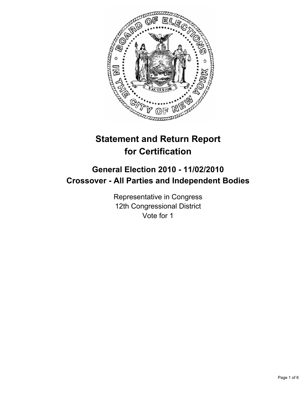

# **Statement and Return Report for Certification**

# **General Election 2010 - 11/02/2010 Crossover - All Parties and Independent Bodies**

Representative in Congress 12th Congressional District Vote for 1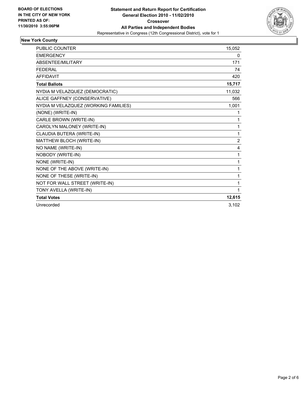

# **New York County**

| <b>PUBLIC COUNTER</b>                | 15,052         |
|--------------------------------------|----------------|
| <b>EMERGENCY</b>                     | 0              |
| <b>ABSENTEE/MILITARY</b>             | 171            |
| <b>FEDERAL</b>                       | 74             |
| <b>AFFIDAVIT</b>                     | 420            |
| <b>Total Ballots</b>                 | 15,717         |
| NYDIA M VELAZQUEZ (DEMOCRATIC)       | 11,032         |
| ALICE GAFFNEY (CONSERVATIVE)         | 566            |
| NYDIA M VELAZQUEZ (WORKING FAMILIES) | 1,001          |
| (NONE) (WRITE-IN)                    | 1              |
| CARLE BROWN (WRITE-IN)               | 1              |
| CAROLYN MALONEY (WRITE-IN)           | 1              |
| CLAUDIA BUTERA (WRITE-IN)            | 1              |
| MATTHEW BLOCH (WRITE-IN)             | $\overline{2}$ |
| NO NAME (WRITE-IN)                   | 4              |
| NOBODY (WRITE-IN)                    | 1              |
| NONE (WRITE-IN)                      | 1              |
| NONE OF THE ABOVE (WRITE-IN)         | 1              |
| NONE OF THESE (WRITE-IN)             | 1              |
| NOT FOR WALL STREET (WRITE-IN)       | 1              |
| TONY AVELLA (WRITE-IN)               | 1              |
| <b>Total Votes</b>                   | 12,615         |
| Unrecorded                           | 3,102          |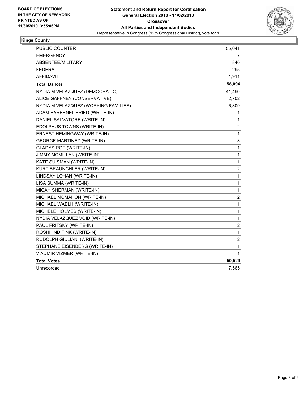

### **Kings County**

| PUBLIC COUNTER                       | 55,041                  |
|--------------------------------------|-------------------------|
| <b>EMERGENCY</b>                     | 7                       |
| ABSENTEE/MILITARY                    | 840                     |
| <b>FEDERAL</b>                       | 295                     |
| <b>AFFIDAVIT</b>                     | 1,911                   |
| <b>Total Ballots</b>                 | 58,094                  |
| NYDIA M VELAZQUEZ (DEMOCRATIC)       | 41,490                  |
| ALICE GAFFNEY (CONSERVATIVE)         | 2,702                   |
| NYDIA M VELAZQUEZ (WORKING FAMILIES) | 6,309                   |
| ADAM BARBENEL FRIED (WRITE-IN)       | 1                       |
| DANIEL SALVATORE (WRITE-IN)          | 1                       |
| EDOLPHUS TOWNS (WRITE-IN)            | 2                       |
| ERNEST HEMINGWAY (WRITE-IN)          | 1                       |
| <b>GEORGE MARTINEZ (WRITE-IN)</b>    | 3                       |
| <b>GLADYS ROE (WRITE-IN)</b>         | $\mathbf{1}$            |
| JIMMY MCMILLAN (WRITE-IN)            | 1                       |
| KATE SUISMAN (WRITE-IN)              | $\mathbf{1}$            |
| KURT BRAUNCHLER (WRITE-IN)           | $\overline{2}$          |
| LINDSAY LOHAN (WRITE-IN)             | $\mathbf 1$             |
| LISA SUMMA (WRITE-IN)                | 1                       |
| MICAH SHERMAN (WRITE-IN)             | $\mathbf{1}$            |
| MICHAEL MCMAHON (WRITE-IN)           | $\overline{\mathbf{c}}$ |
| MICHAEL WAELH (WRITE-IN)             | 1                       |
| MICHELE HOLMES (WRITE-IN)            | 1                       |
| NYDIA VELAZQUEZ VOID (WRITE-IN)      | $\mathbf{1}$            |
| PAUL FRITSKY (WRITE-IN)              | 2                       |
| ROSHHIND FINK (WRITE-IN)             | 1                       |
| RUDOLPH GIULIANI (WRITE-IN)          | 2                       |
| STEPHANE EISENBERG (WRITE-IN)        | $\mathbf 1$             |
| VIADMIR VIZMER (WRITE-IN)            | 1                       |
| <b>Total Votes</b>                   | 50,529                  |
| Unrecorded                           | 7,565                   |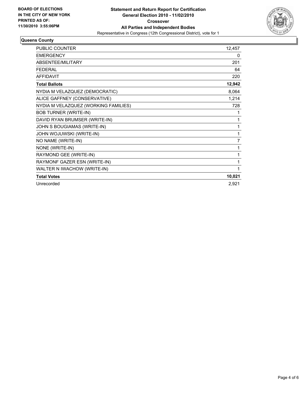

#### **Queens County**

| <b>PUBLIC COUNTER</b>                | 12,457 |
|--------------------------------------|--------|
| <b>EMERGENCY</b>                     | 0      |
| <b>ABSENTEE/MILITARY</b>             | 201    |
| <b>FEDERAL</b>                       | 64     |
| <b>AFFIDAVIT</b>                     | 220    |
| <b>Total Ballots</b>                 | 12,942 |
| NYDIA M VELAZQUEZ (DEMOCRATIC)       | 8,064  |
| ALICE GAFFNEY (CONSERVATIVE)         | 1,214  |
| NYDIA M VELAZQUEZ (WORKING FAMILIES) | 728    |
| <b>BOB TURNER (WRITE-IN)</b>         | 1      |
| DAVID RYAN BRUMSER (WRITE-IN)        | 1      |
| JOHN S BOUGIAMAS (WRITE-IN)          | 1      |
| JOHN WOJUWSKI (WRITE-IN)             | 1      |
| NO NAME (WRITE-IN)                   | 7      |
| NONE (WRITE-IN)                      | 1      |
| RAYMOND GEE (WRITE-IN)               | 1      |
| RAYMONF GAZER ESN (WRITE-IN)         | 1      |
| WALTER N IWACHOW (WRITE-IN)          | 1      |
| <b>Total Votes</b>                   | 10,021 |
| Unrecorded                           | 2,921  |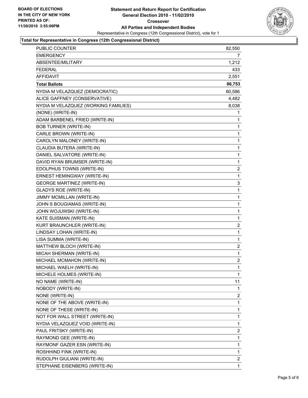

### **Total for Representative in Congress (12th Congressional District)**

| <b>PUBLIC COUNTER</b>                | 82,550 |
|--------------------------------------|--------|
| <b>EMERGENCY</b>                     | 7      |
| ABSENTEE/MILITARY                    | 1,212  |
| <b>FEDERAL</b>                       | 433    |
| <b>AFFIDAVIT</b>                     | 2,551  |
| <b>Total Ballots</b>                 | 86,753 |
| NYDIA M VELAZQUEZ (DEMOCRATIC)       | 60,586 |
| ALICE GAFFNEY (CONSERVATIVE)         | 4,482  |
| NYDIA M VELAZQUEZ (WORKING FAMILIES) | 8,038  |
| (NONE) (WRITE-IN)                    | 1      |
| ADAM BARBENEL FRIED (WRITE-IN)       | 1      |
| <b>BOB TURNER (WRITE-IN)</b>         | 1      |
| CARLE BROWN (WRITE-IN)               | 1      |
| CAROLYN MALONEY (WRITE-IN)           | 1      |
| CLAUDIA BUTERA (WRITE-IN)            | 1      |
| DANIEL SALVATORE (WRITE-IN)          | 1      |
| DAVID RYAN BRUMSER (WRITE-IN)        | 1      |
| EDOLPHUS TOWNS (WRITE-IN)            | 2      |
| ERNEST HEMINGWAY (WRITE-IN)          | 1      |
| <b>GEORGE MARTINEZ (WRITE-IN)</b>    | 3      |
| <b>GLADYS ROE (WRITE-IN)</b>         | 1      |
| JIMMY MCMILLAN (WRITE-IN)            | 1      |
| JOHN S BOUGIAMAS (WRITE-IN)          | 1      |
| JOHN WOJUWSKI (WRITE-IN)             | 1      |
| KATE SUISMAN (WRITE-IN)              | 1      |
| KURT BRAUNCHLER (WRITE-IN)           | 2      |
| LINDSAY LOHAN (WRITE-IN)             | 1      |
| LISA SUMMA (WRITE-IN)                | 1      |
| MATTHEW BLOCH (WRITE-IN)             | 2      |
| MICAH SHERMAN (WRITE-IN)             | 1      |
| MICHAEL MCMAHON (WRITE-IN)           | 2      |
| MICHAEL WAELH (WRITE-IN)             | 1      |
| MICHELE HOLMES (WRITE-IN)            | 1      |
| NO NAME (WRITE-IN)                   | 11     |
| NOBODY (WRITE-IN)                    | 1      |
| NONE (WRITE-IN)                      | 2      |
| NONE OF THE ABOVE (WRITE-IN)         | 1      |
| NONE OF THESE (WRITE-IN)             | 1      |
| NOT FOR WALL STREET (WRITE-IN)       | 1      |
| NYDIA VELAZQUEZ VOID (WRITE-IN)      | 1      |
| PAUL FRITSKY (WRITE-IN)              | 2      |
| RAYMOND GEE (WRITE-IN)               | 1      |
| RAYMONF GAZER ESN (WRITE-IN)         | 1      |
| ROSHHIND FINK (WRITE-IN)             | 1      |
| RUDOLPH GIULIANI (WRITE-IN)          | 2      |
| STEPHANE EISENBERG (WRITE-IN)        | 1      |